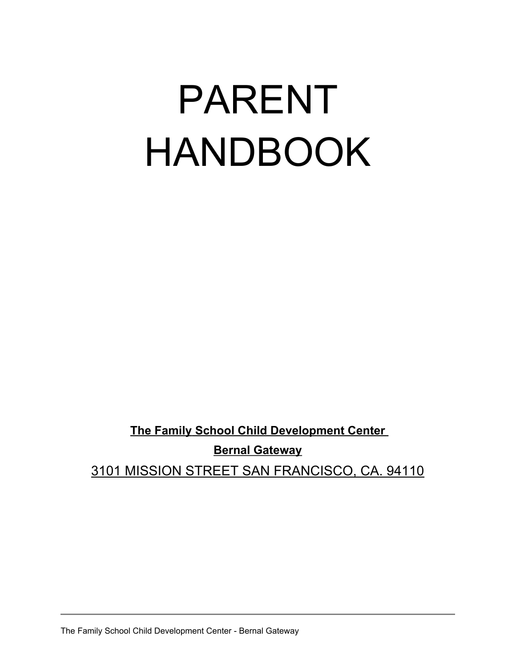# PARENT HANDBOOK

**The Family School Child Development Center Bernal Gateway** 3101 MISSION STREET SAN FRANCISCO, CA. 94110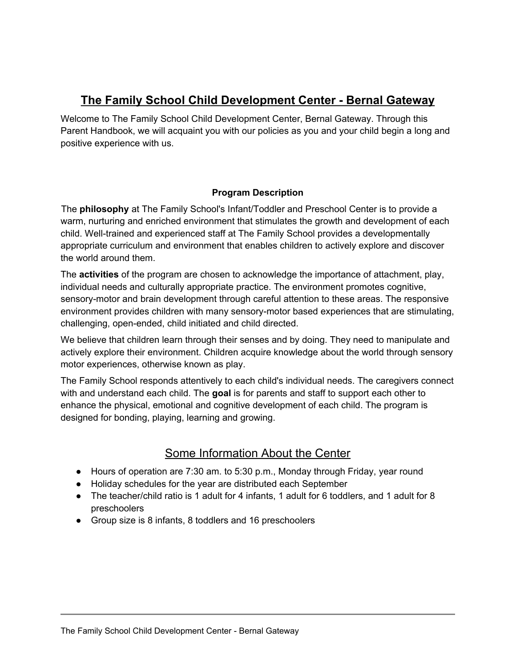# **The Family School Child Development Center - Bernal Gateway**

Welcome to The Family School Child Development Center, Bernal Gateway. Through this Parent Handbook, we will acquaint you with our policies as you and your child begin a long and positive experience with us.

#### **Program Description**

The **philosophy** at The Family School's Infant/Toddler and Preschool Center is to provide a warm, nurturing and enriched environment that stimulates the growth and development of each child. Well-trained and experienced staff at The Family School provides a developmentally appropriate curriculum and environment that enables children to actively explore and discover the world around them.

The **activities** of the program are chosen to acknowledge the importance of attachment, play, individual needs and culturally appropriate practice. The environment promotes cognitive, sensory-motor and brain development through careful attention to these areas. The responsive environment provides children with many sensory-motor based experiences that are stimulating, challenging, open-ended, child initiated and child directed.

We believe that children learn through their senses and by doing. They need to manipulate and actively explore their environment. Children acquire knowledge about the world through sensory motor experiences, otherwise known as play.

The Family School responds attentively to each child's individual needs. The caregivers connect with and understand each child. The **goal** is for parents and staff to support each other to enhance the physical, emotional and cognitive development of each child. The program is designed for bonding, playing, learning and growing.

## Some Information About the Center

- Hours of operation are 7:30 am. to 5:30 p.m., Monday through Friday, year round
- Holiday schedules for the year are distributed each September
- The teacher/child ratio is 1 adult for 4 infants, 1 adult for 6 toddlers, and 1 adult for 8 preschoolers
- Group size is 8 infants, 8 toddlers and 16 preschoolers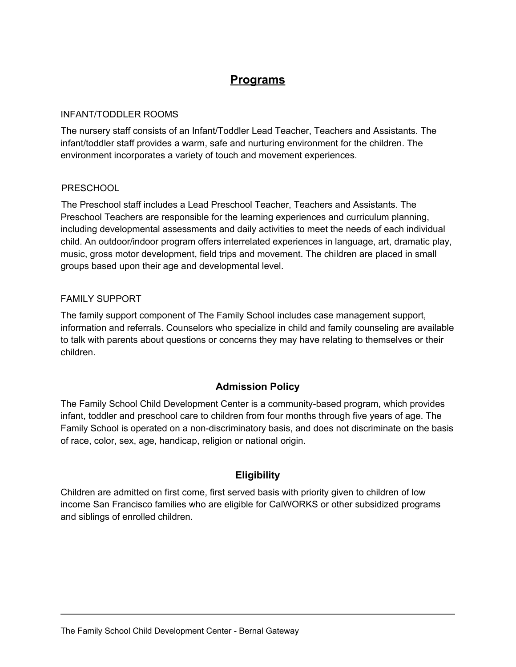# **Programs**

#### INFANT/TODDLER ROOMS

The nursery staff consists of an Infant/Toddler Lead Teacher, Teachers and Assistants. The infant/toddler staff provides a warm, safe and nurturing environment for the children. The environment incorporates a variety of touch and movement experiences.

#### **PRESCHOOL**

The Preschool staff includes a Lead Preschool Teacher, Teachers and Assistants. The Preschool Teachers are responsible for the learning experiences and curriculum planning, including developmental assessments and daily activities to meet the needs of each individual child. An outdoor/indoor program offers interrelated experiences in language, art, dramatic play, music, gross motor development, field trips and movement. The children are placed in small groups based upon their age and developmental level.

#### FAMILY SUPPORT

The family support component of The Family School includes case management support, information and referrals. Counselors who specialize in child and family counseling are available to talk with parents about questions or concerns they may have relating to themselves or their children.

#### **Admission Policy**

The Family School Child Development Center is a community-based program, which provides infant, toddler and preschool care to children from four months through five years of age. The Family School is operated on a non-discriminatory basis, and does not discriminate on the basis of race, color, sex, age, handicap, religion or national origin.

#### **Eligibility**

Children are admitted on first come, first served basis with priority given to children of low income San Francisco families who are eligible for CalWORKS or other subsidized programs and siblings of enrolled children.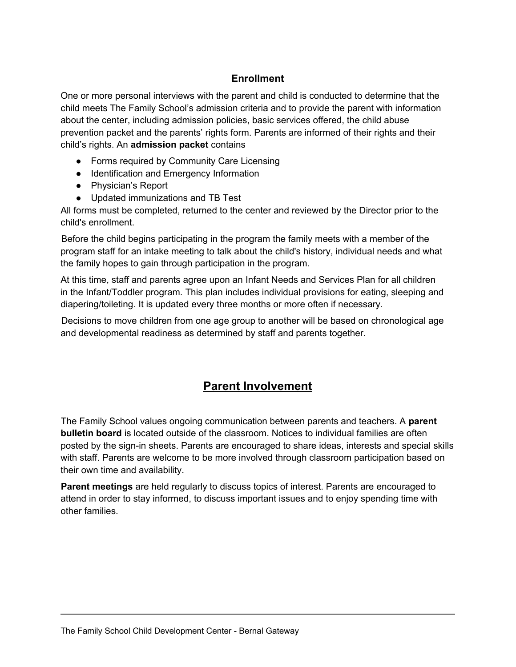## **Enrollment**

One or more personal interviews with the parent and child is conducted to determine that the child meets The Family School's admission criteria and to provide the parent with information about the center, including admission policies, basic services offered, the child abuse prevention packet and the parents' rights form. Parents are informed of their rights and their child's rights. An **admission packet** contains

- Forms required by Community Care Licensing
- Identification and Emergency Information
- Physician's Report
- Updated immunizations and TB Test

All forms must be completed, returned to the center and reviewed by the Director prior to the child's enrollment.

Before the child begins participating in the program the family meets with a member of the program staff for an intake meeting to talk about the child's history, individual needs and what the family hopes to gain through participation in the program.

At this time, staff and parents agree upon an Infant Needs and Services Plan for all children in the Infant/Toddler program. This plan includes individual provisions for eating, sleeping and diapering/toileting. It is updated every three months or more often if necessary.

Decisions to move children from one age group to another will be based on chronological age and developmental readiness as determined by staff and parents together.

## **Parent Involvement**

The Family School values ongoing communication between parents and teachers. A **parent bulletin board** is located outside of the classroom. Notices to individual families are often posted by the sign-in sheets. Parents are encouraged to share ideas, interests and special skills with staff. Parents are welcome to be more involved through classroom participation based on their own time and availability.

**Parent meetings** are held regularly to discuss topics of interest. Parents are encouraged to attend in order to stay informed, to discuss important issues and to enjoy spending time with other families.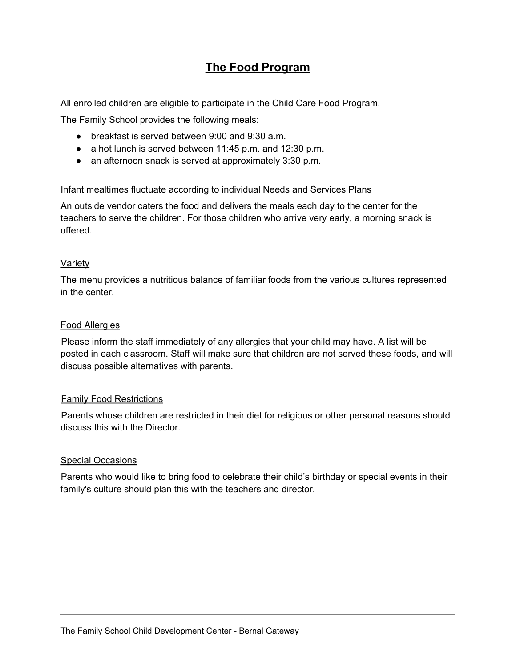## **The Food Program**

All enrolled children are eligible to participate in the Child Care Food Program.

The Family School provides the following meals:

- breakfast is served between 9:00 and 9:30 a.m.
- a hot lunch is served between 11:45 p.m. and 12:30 p.m.
- an afternoon snack is served at approximately 3:30 p.m.

Infant mealtimes fluctuate according to individual Needs and Services Plans

An outside vendor caters the food and delivers the meals each day to the center for the teachers to serve the children. For those children who arrive very early, a morning snack is offered.

#### Variety

The menu provides a nutritious balance of familiar foods from the various cultures represented in the center.

#### Food Allergies

Please inform the staff immediately of any allergies that your child may have. A list will be posted in each classroom. Staff will make sure that children are not served these foods, and will discuss possible alternatives with parents.

#### Family Food Restrictions

Parents whose children are restricted in their diet for religious or other personal reasons should discuss this with the Director.

#### Special Occasions

Parents who would like to bring food to celebrate their child's birthday or special events in their family's culture should plan this with the teachers and director.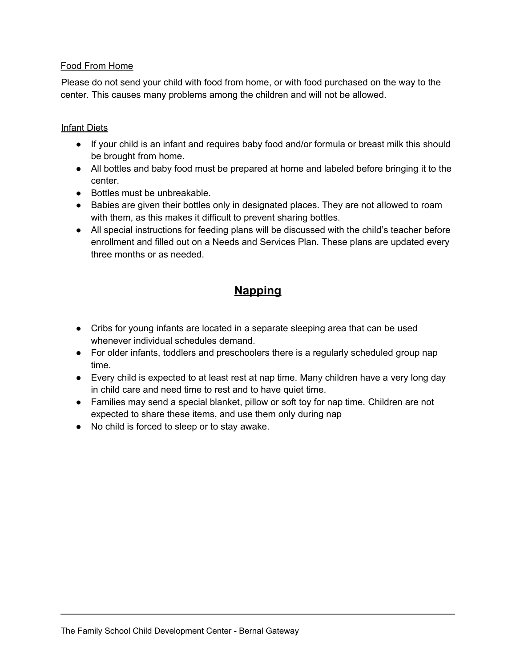#### Food From Home

Please do not send your child with food from home, or with food purchased on the way to the center. This causes many problems among the children and will not be allowed.

#### Infant Diets

- If your child is an infant and requires baby food and/or formula or breast milk this should be brought from home.
- All bottles and baby food must be prepared at home and labeled before bringing it to the center.
- Bottles must be unbreakable.
- Babies are given their bottles only in designated places. They are not allowed to roam with them, as this makes it difficult to prevent sharing bottles.
- All special instructions for feeding plans will be discussed with the child's teacher before enrollment and filled out on a Needs and Services Plan. These plans are updated every three months or as needed.

# **Napping**

- Cribs for young infants are located in a separate sleeping area that can be used whenever individual schedules demand
- For older infants, toddlers and preschoolers there is a regularly scheduled group nap time.
- Every child is expected to at least rest at nap time. Many children have a very long day in child care and need time to rest and to have quiet time.
- Families may send a special blanket, pillow or soft toy for nap time. Children are not expected to share these items, and use them only during nap
- No child is forced to sleep or to stay awake.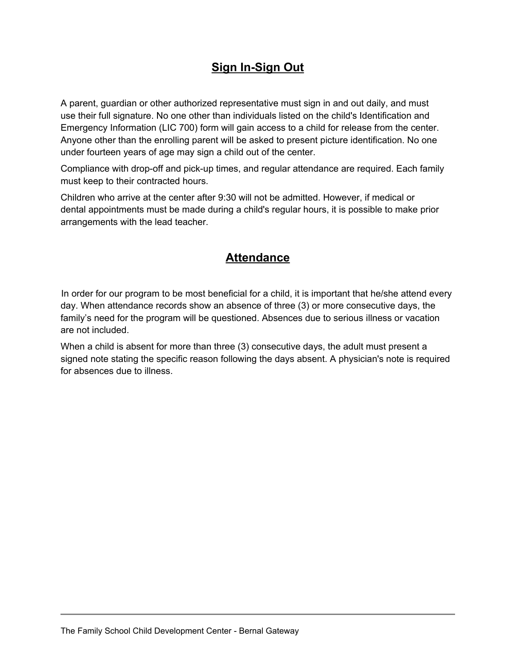# **Sign In-Sign Out**

A parent, guardian or other authorized representative must sign in and out daily, and must use their full signature. No one other than individuals listed on the child's Identification and Emergency Information (LIC 700) form will gain access to a child for release from the center. Anyone other than the enrolling parent will be asked to present picture identification. No one under fourteen years of age may sign a child out of the center.

Compliance with drop-off and pick-up times, and regular attendance are required. Each family must keep to their contracted hours.

Children who arrive at the center after 9:30 will not be admitted. However, if medical or dental appointments must be made during a child's regular hours, it is possible to make prior arrangements with the lead teacher.

## **Attendance**

In order for our program to be most beneficial for a child, it is important that he/she attend every day. When attendance records show an absence of three (3) or more consecutive days, the family's need for the program will be questioned. Absences due to serious illness or vacation are not included.

When a child is absent for more than three (3) consecutive days, the adult must present a signed note stating the specific reason following the days absent. A physician's note is required for absences due to illness.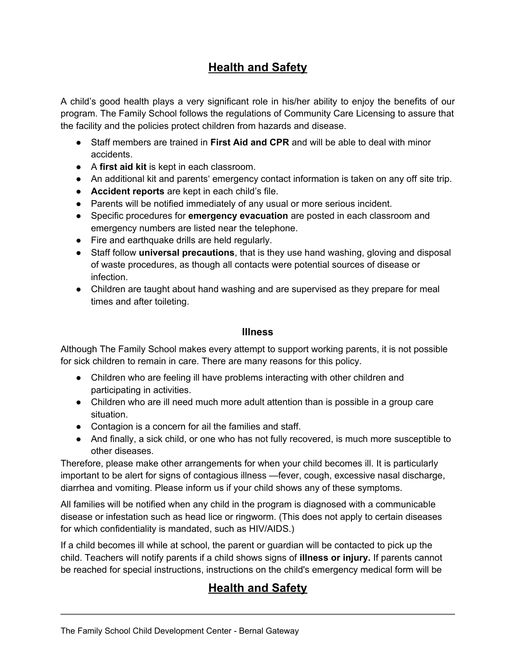# **Health and Safety**

A child's good health plays a very significant role in his/her ability to enjoy the benefits of our program. The Family School follows the regulations of Community Care Licensing to assure that the facility and the policies protect children from hazards and disease.

- Staff members are trained in **First Aid and CPR** and will be able to deal with minor accidents.
- A **first aid kit** is kept in each classroom.
- An additional kit and parents' emergency contact information is taken on any off site trip.
- **Accident reports** are kept in each child's file.
- Parents will be notified immediately of any usual or more serious incident.
- Specific procedures for **emergency evacuation** are posted in each classroom and emergency numbers are listed near the telephone.
- Fire and earthquake drills are held regularly.
- Staff follow **universal precautions**, that is they use hand washing, gloving and disposal of waste procedures, as though all contacts were potential sources of disease or infection.
- Children are taught about hand washing and are supervised as they prepare for meal times and after toileting.

#### **Illness**

Although The Family School makes every attempt to support working parents, it is not possible for sick children to remain in care. There are many reasons for this policy.

- Children who are feeling ill have problems interacting with other children and participating in activities.
- Children who are ill need much more adult attention than is possible in a group care situation.
- Contagion is a concern for ail the families and staff.
- And finally, a sick child, or one who has not fully recovered, is much more susceptible to other diseases.

Therefore, please make other arrangements for when your child becomes ill. It is particularly important to be alert for signs of contagious illness —fever, cough, excessive nasal discharge, diarrhea and vomiting. Please inform us if your child shows any of these symptoms.

All families will be notified when any child in the program is diagnosed with a communicable disease or infestation such as head lice or ringworm. (This does not apply to certain diseases for which confidentiality is mandated, such as HIV/AIDS.)

If a child becomes ill while at school, the parent or guardian will be contacted to pick up the child. Teachers will notify parents if a child shows signs of **illness or injury.** If parents cannot be reached for special instructions, instructions on the child's emergency medical form will be

# **Health and Safety**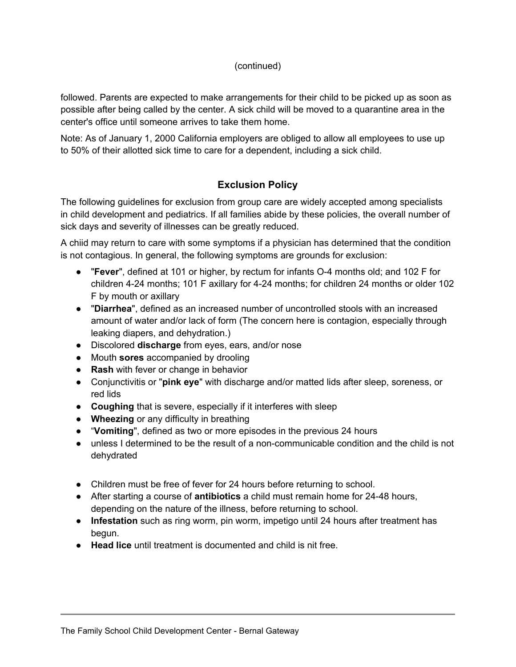#### (continued)

followed. Parents are expected to make arrangements for their child to be picked up as soon as possible after being called by the center. A sick child will be moved to a quarantine area in the center's office until someone arrives to take them home.

Note: As of January 1, 2000 California employers are obliged to allow all employees to use up to 50% of their allotted sick time to care for a dependent, including a sick child.

## **Exclusion Policy**

The following guidelines for exclusion from group care are widely accepted among specialists in child development and pediatrics. If all families abide by these policies, the overall number of sick days and severity of illnesses can be greatly reduced.

A chiid may return to care with some symptoms if a physician has determined that the condition is not contagious. In general, the following symptoms are grounds for exclusion:

- "**Fever**", defined at 101 or higher, by rectum for infants O-4 months old; and 102 F for children 4-24 months; 101 F axillary for 4-24 months; for children 24 months or older 102 F by mouth or axillary
- "**Diarrhea**", defined as an increased number of uncontrolled stools with an increased amount of water and/or lack of form (The concern here is contagion, especially through leaking diapers, and dehydration.)
- Discolored **discharge** from eyes, ears, and/or nose
- Mouth **sores** accompanied by drooling
- **Rash** with fever or change in behavior
- Conjunctivitis or "**pink eye**" with discharge and/or matted lids after sleep, soreness, or red lids
- **Coughing** that is severe, especially if it interferes with sleep
- **Wheezing** or any difficulty in breathing
- "**Vomiting**", defined as two or more episodes in the previous 24 hours
- unless I determined to be the result of a non-communicable condition and the child is not dehydrated
- Children must be free of fever for 24 hours before returning to school.
- After starting a course of **antibiotics** a child must remain home for 24-48 hours, depending on the nature of the illness, before returning to school.
- **Infestation** such as ring worm, pin worm, impetigo until 24 hours after treatment has begun.
- **Head lice** until treatment is documented and child is nit free.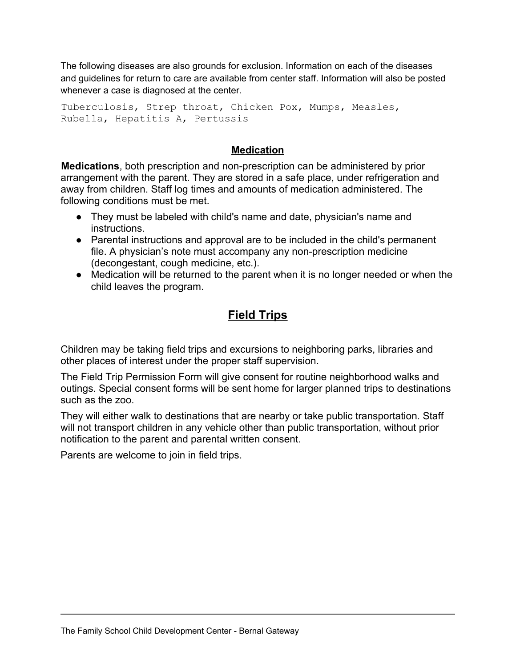The following diseases are also grounds for exclusion. Information on each of the diseases and guidelines for return to care are available from center staff. Information will also be posted whenever a case is diagnosed at the center.

Tuberculosis, Strep throat, Chicken Pox, Mumps, Measles, Rubella, Hepatitis A, Pertussis

#### **Medication**

**Medications**, both prescription and non-prescription can be administered by prior arrangement with the parent. They are stored in a safe place, under refrigeration and away from children. Staff log times and amounts of medication administered. The following conditions must be met.

- They must be labeled with child's name and date, physician's name and instructions.
- Parental instructions and approval are to be included in the child's permanent file. A physician's note must accompany any non-prescription medicine (decongestant, cough medicine, etc.).
- Medication will be returned to the parent when it is no longer needed or when the child leaves the program.

# **Field Trips**

Children may be taking field trips and excursions to neighboring parks, libraries and other places of interest under the proper staff supervision.

The Field Trip Permission Form will give consent for routine neighborhood walks and outings. Special consent forms will be sent home for larger planned trips to destinations such as the zoo.

They will either walk to destinations that are nearby or take public transportation. Staff will not transport children in any vehicle other than public transportation, without prior notification to the parent and parental written consent.

Parents are welcome to join in field trips.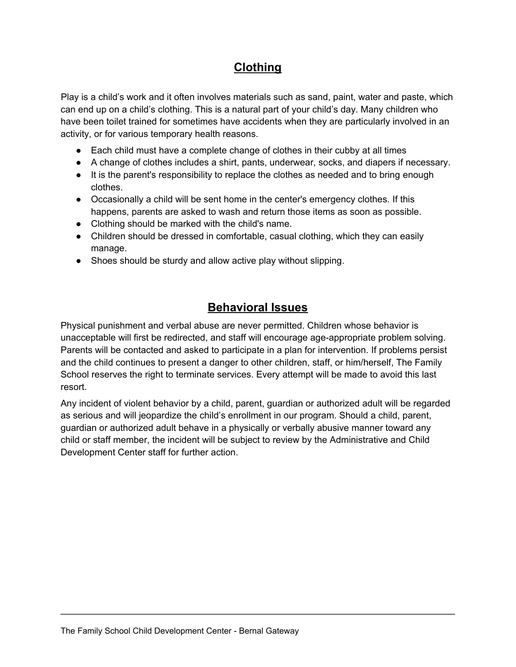# **Clothing**

Play is a child's work and it often involves materials such as sand, paint, water and paste, which can end up on a child's clothing. This is a natural part of your child's day. Many children who have been toilet trained for sometimes have accidents when they are particularly involved in an activity, or for various temporary health reasons.

- Each child must have a complete change of clothes in their cubby at all times
- A change of clothes includes a shirt, pants, underwear, socks, and diapers if necessary.
- It is the parent's responsibility to replace the clothes as needed and to bring enough clothes.
- Occasionally a child will be sent home in the center's emergency clothes. If this happens, parents are asked to wash and return those items as soon as possible.
- Clothing should be marked with the child's name.
- Children should be dressed in comfortable, casual clothing, which they can easily manage.
- Shoes should be sturdy and allow active play without slipping.

## **Behavioral Issues**

Physical punishment and verbal abuse are never permitted. Children whose behavior is unacceptable will first be redirected, and staff will encourage age-appropriate problem solving. Parents will be contacted and asked to participate in a plan for intervention. If problems persist and the child continues to present a danger to other children, staff, or him/herself, The Family School reserves the right to terminate services. Every attempt will be made to avoid this last resort.

Any incident of violent behavior by a child, parent, guardian or authorized adult will be regarded as serious and will jeopardize the child's enrollment in our program. Should a child, parent, guardian or authorized adult behave in a physically or verbally abusive manner toward any child or staff member, the incident will be subject to review by the Administrative and Child Development Center staff for further action.